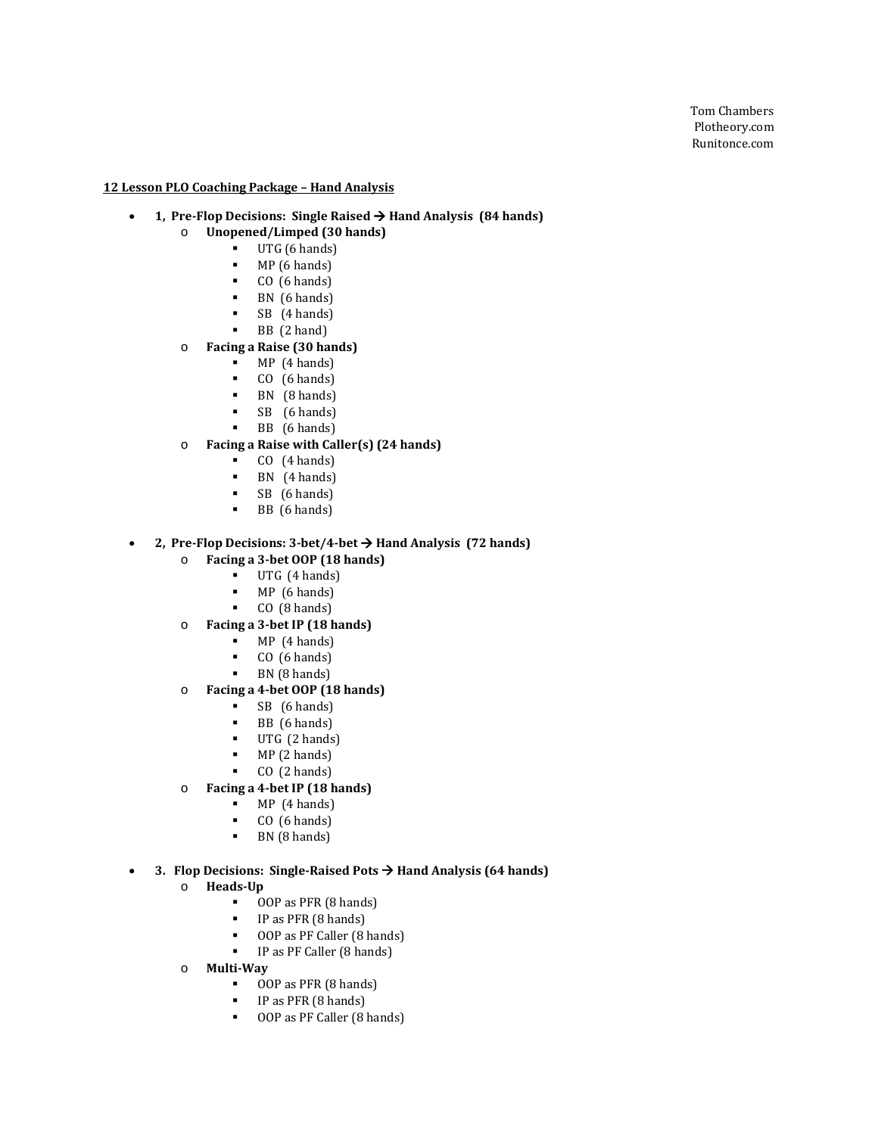#### **12 Lesson PLO Coaching Package – Hand Analysis**

#### • **1, Pre-Flop Decisions: Single Raised Hand Analysis (84 hands)**

- o **Unopened/Limped (30 hands)**
	- $\blacksquare$  UTG (6 hands)<br> $\blacksquare$  MP (6 hands)
		- $MP(6 \text{ hands})$ <br> $P(6 \text{ hands})$
		- $CO (6 \text{ hands})$ <br> $RN (6 \text{ bands})$
		- $\blacksquare$  BN (6 hands)
		- SB (4 hands)
		- BB (2 hand)

#### o **Facing a Raise (30 hands)**

- $MP (4 hands)$ <br> $P (6 hands)$
- $CO$  (6 hands)<br>BN  $(B \text{ hands})$
- $\blacksquare$  BN (8 hands)
- SB (6 hands)
- BB (6 hands)

## o **Facing a Raise with Caller(s) (24 hands)**

- $CO$  (4 hands)
- **BN**  $(4 \text{ hands})$ <br>**SR**  $(6 \text{ hands})$
- $SB$  (6 hands)
- BB (6 hands)

## • **2, Pre-Flop Decisions: 3-bet/4-bet Hand Analysis (72 hands)**

- o **Facing a 3-bet OOP (18 hands)**
	- $\blacksquare$  UTG (4 hands)<br> $\blacksquare$  MP (6 hands)
	-
	- $MP (6 \text{ hands})$ <br> $P (0 (8 \text{ hands})$ CO (8 hands)
- o **Facing a 3-bet IP (18 hands)**
	- $MP$  (4 hands)
	- CO  $(6 \text{ hands})$ <br>RN  $(8 \text{ hands})$
	- BN (8 hands)
- o **Facing a 4-bet OOP (18 hands)**
	- $SB$  (6 hands)<br>BB (6 hands)
	- **BB** (6 hands)<br>**IITG** (2 hands)
	- UTG (2 hands)
	- $MP(2 \text{ hands})$ <br> $P(2 \text{ hands})$
	- CO (2 hands)
- o **Facing a 4-bet IP (18 hands)**
	- $MP$  (4 hands)
	- CO  $(6 \text{ hands})$ <br>RN  $(8 \text{ hands})$
	- BN (8 hands)

#### • **3. Flop Decisions: Single-Raised Pots**  $\rightarrow$  **Hand Analysis (64 hands)**

- o **Heads-Up**
	- **OOP** as PFR  $(8 \text{ hands})$ <br>**IP** as PFR  $(8 \text{ hands})$
	- **IP** as PFR  $(8 \text{ hands})$ <br> **IP** as PF Caller  $(8 \text{ miles})$
	- OOP as PF Caller (8 hands)
	- **IP as PF Caller (8 hands)**
- o **Multi-Way**
	- OOP as PFR (8 hands)
	- **IP** as PFR  $(8 \text{ hands})$ <br> **OOP** as PF Caller  $(8 \text{ ls})$
	- OOP as PF Caller (8 hands)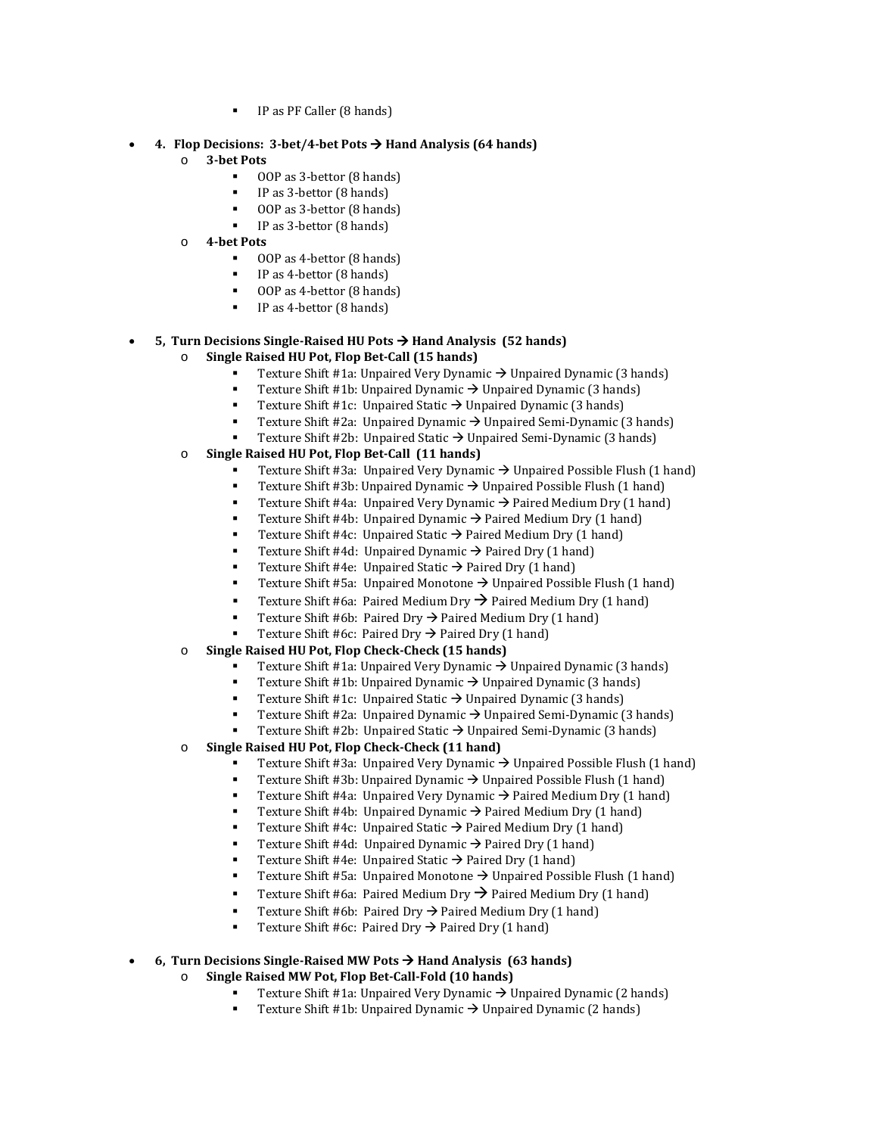IP as PF Caller (8 hands)

#### • **4. Flop Decisions: 3-bet/4-bet Pots Hand Analysis (64 hands)**

- o **3-bet Pots** 
	- OOP as 3-bettor (8 hands)
	- IP as 3-bettor (8 hands)
	- OOP as 3-bettor (8 hands)
	- IP as 3-bettor (8 hands)
- o **4-bet Pots** 
	- OOP as 4-bettor (8 hands)
	- **IP** as 4-bettor (8 hands)
	- OOP as 4-bettor (8 hands)
	- IP as 4-bettor (8 hands)

#### • **5, Turn Decisions Single-Raised HU Pots Hand Analysis (52 hands)**

- o **Single Raised HU Pot, Flop Bet-Call (15 hands)**
	- Texture Shift #1a: Unpaired Very Dynamic  $\rightarrow$  Unpaired Dynamic (3 hands)
	- Texture Shift #1b: Unpaired Dynamic  $\rightarrow$  Unpaired Dynamic (3 hands)
	- Texture Shift #1c: Unpaired Static  $\rightarrow$  Unpaired Dynamic (3 hands)
	- Texture Shift #2a:Unpaired Dynamic Unpaired Semi-Dynamic (3 hands)
	- Texture Shift #2b:Unpaired Static Unpaired Semi-Dynamic (3 hands)
- o **Single Raised HU Pot, Flop Bet-Call (11 hands)**
	- Texture Shift #3a: Unpaired Very Dynamic  $\rightarrow$  Unpaired Possible Flush (1 hand)
	- Texture Shift #3b: Unpaired Dynamic  $\rightarrow$  Unpaired Possible Flush (1 hand)<br>Texture Shift #42: Unpaired Very Dynamic  $\rightarrow$  Paired Medium Dry (1 hand)
	- Texture Shift #4a: Unpaired Very Dynamic  $\rightarrow$  Paired Medium Dry (1 hand)
	- Texture Shift #4b: Unpaired Dynamic  $\rightarrow$  Paired Medium Dry (1 hand)
	- Texture Shift #4c: Unpaired Static  $\rightarrow$  Paired Medium Dry (1 hand)
	- Texture Shift #4d: Unpaired Dynamic  $\rightarrow$  Paired Dry (1 hand)
	- Texture Shift #4e: Unpaired Static  $\rightarrow$  Paired Dry (1 hand)
	- Texture Shift #5a: Unpaired Monotone → Unpaired Possible Flush (1 hand)
	- **Texture Shift #6a: Paired Medium Dry**  $\rightarrow$  **Paired Medium Dry (1 hand)**
	- Texture Shift #6b: Paired Dry  $\rightarrow$  Paired Medium Dry (1 hand)
	- Texture Shift #6c: Paired Dry  $\rightarrow$  Paired Dry (1 hand)
- o **Single Raised HU Pot, Flop Check-Check (15 hands)**
	- Texture Shift #1a: Unpaired Very Dynamic  $\rightarrow$  Unpaired Dynamic (3 hands)
	- Texture Shift #1b: Unpaired Dynamic  $\rightarrow$  Unpaired Dynamic (3 hands)<br>Texture Shift #1c: Unpaired Static  $\rightarrow$  Unpaired Dynamic (3 hands)
	- Texture Shift #1c: Unpaired Static  $\rightarrow$  Unpaired Dynamic (3 hands)
	- Texture Shift #2a:Unpaired Dynamic Unpaired Semi-Dynamic (3 hands)
	- Texture Shift #2b: Unpaired Static → Unpaired Semi-Dynamic (3 hands)
- o **Single Raised HU Pot, Flop Check-Check (11 hand)**
	- Texture Shift #3a: Unpaired Very Dynamic  $\rightarrow$  Unpaired Possible Flush (1 hand)
	- Texture Shift #3b: Unpaired Dynamic  $\rightarrow$  Unpaired Possible Flush (1 hand)
	- Texture Shift #4a: Unpaired Very Dynamic  $\rightarrow$  Paired Medium Dry (1 hand)
	- Texture Shift #4b: Unpaired Dynamic  $\rightarrow$  Paired Medium Dry (1 hand)
	- Texture Shift #4c: Unpaired Static  $\rightarrow$  Paired Medium Dry (1 hand)
	- Texture Shift #4d: Unpaired Dynamic  $\rightarrow$  Paired Dry (1 hand)
	- Texture Shift #4e: Unpaired Static  $\rightarrow$  Paired Dry (1 hand)
	- Texture Shift #5a: Unpaired Monotone  $\rightarrow$  Unpaired Possible Flush (1 hand)
	- Texture Shift #6a: Paired Medium Dry  $\rightarrow$  Paired Medium Dry (1 hand)
	- Texture Shift #6b: Paired Dry  $\rightarrow$  Paired Medium Dry (1 hand)
	- Texture Shift #6c: Paired Dry  $\rightarrow$  Paired Dry (1 hand)

## • **6, Turn Decisions Single-Raised MW Pots Hand Analysis (63 hands)**

- o **Single Raised MW Pot, Flop Bet-Call-Fold (10 hands)**
	- Texture Shift #1a: Unpaired Very Dynamic  $\rightarrow$  Unpaired Dynamic (2 hands)
	- Texture Shift #1b: Unpaired Dynamic  $\rightarrow$  Unpaired Dynamic (2 hands)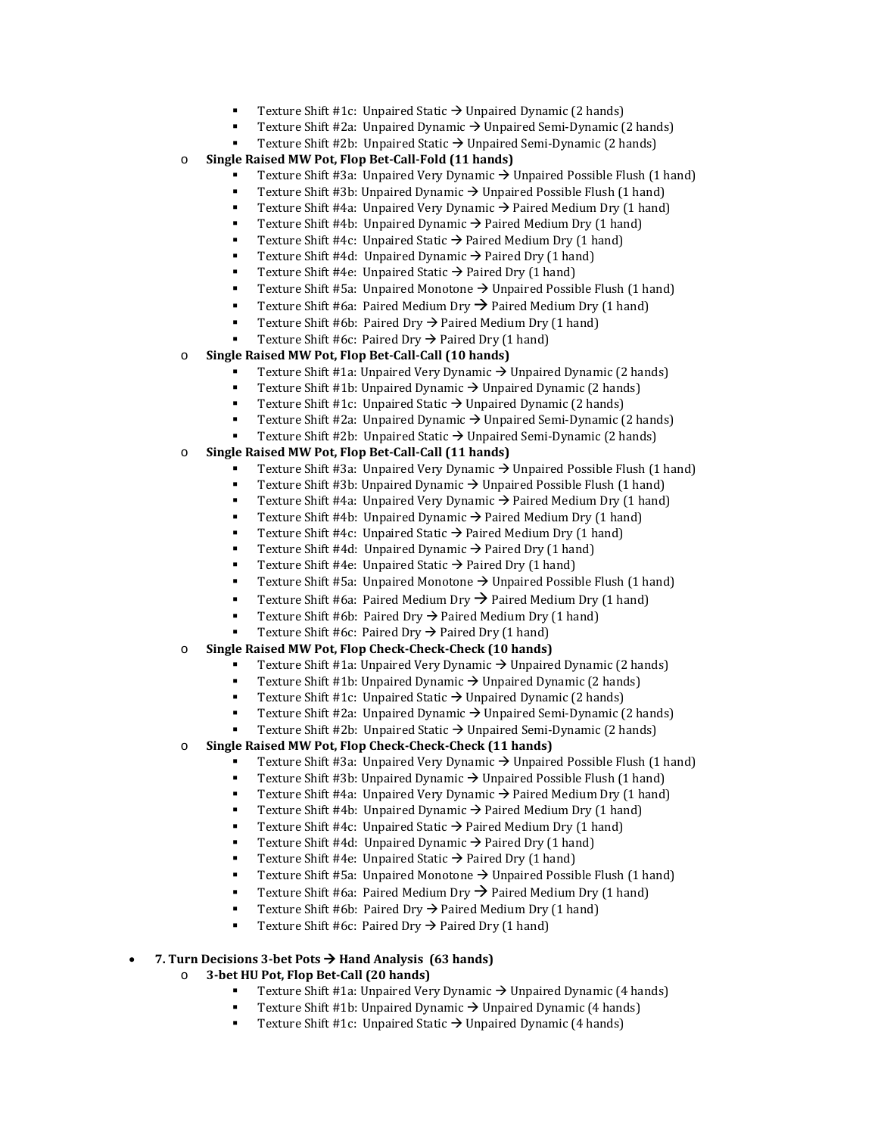- Texture Shift #1c: Unpaired Static  $\rightarrow$  Unpaired Dynamic (2 hands)
	- Texture Shift #2a: Unpaired Dynamic → Unpaired Semi-Dynamic (2 hands)
- Texture Shift #2b: Unpaired Static → Unpaired Semi-Dynamic (2 hands)
- o **Single Raised MW Pot, Flop Bet-Call-Fold (11 hands)**
	- Texture Shift #3a: Unpaired Very Dynamic  $\rightarrow$  Unpaired Possible Flush (1 hand)
	- Texture Shift #3b: Unpaired Dynamic  $\rightarrow$  Unpaired Possible Flush (1 hand)
	- Texture Shift #4a: Unpaired Very Dynamic  $\rightarrow$  Paired Medium Dry (1 hand)
	- Texture Shift #4b: Unpaired Dynamic  $\rightarrow$  Paired Medium Dry (1 hand)
	- Texture Shift #4c: Unpaired Static  $\rightarrow$  Paired Medium Dry (1 hand)
	- Texture Shift #4d: Unpaired Dynamic  $\rightarrow$  Paired Dry (1 hand)
	- Texture Shift #4e: Unpaired Static  $\rightarrow$  Paired Dry (1 hand)
	- Texture Shift #5a: Unpaired Monotone  $\rightarrow$  Unpaired Possible Flush (1 hand)
	- **Texture Shift #6a: Paired Medium Dry**  $\rightarrow$  **Paired Medium Dry (1 hand)**
	- Texture Shift #6b: Paired Dry  $\rightarrow$  Paired Medium Dry (1 hand)
	- Texture Shift #6c: Paired Dry  $\rightarrow$  Paired Dry (1 hand)
- o **Single Raised MW Pot, Flop Bet-Call-Call (10 hands)**
	- Texture Shift #1a: Unpaired Very Dynamic  $\rightarrow$  Unpaired Dynamic (2 hands)
	- Texture Shift #1b: Unpaired Dynamic  $\rightarrow$  Unpaired Dynamic (2 hands)
	- Texture Shift #1c: Unpaired Static  $\rightarrow$  Unpaired Dynamic (2 hands)
	- Texture Shift #2a:Unpaired Dynamic Unpaired Semi-Dynamic (2 hands)
	- Texture Shift #2b:Unpaired Static Unpaired Semi-Dynamic (2 hands)
- o **Single Raised MW Pot, Flop Bet-Call-Call (11 hands)**
	- Texture Shift #3a: Unpaired Very Dynamic  $\rightarrow$  Unpaired Possible Flush (1 hand)
	- Texture Shift #3b: Unpaired Dynamic  $\rightarrow$  Unpaired Possible Flush (1 hand)
	- Texture Shift #4a: Unpaired Very Dynamic  $\rightarrow$  Paired Medium Dry (1 hand)
	- Texture Shift #4b: Unpaired Dynamic  $\rightarrow$  Paired Medium Dry (1 hand)
	- Texture Shift #4c: Unpaired Static  $\rightarrow$  Paired Medium Dry (1 hand)
	- Texture Shift #4d: Unpaired Dynamic  $\rightarrow$  Paired Dry (1 hand)
	- Texture Shift #4e: Unpaired Static  $\rightarrow$  Paired Dry (1 hand)
	- Texture Shift #5a: Unpaired Monotone  $\rightarrow$  Unpaired Possible Flush (1 hand)
	- Texture Shift #6a: Paired Medium Dry  $\rightarrow$  Paired Medium Dry (1 hand)
	- Texture Shift #6b: Paired Dry  $\rightarrow$  Paired Medium Dry (1 hand)
	- Texture Shift #6c: Paired Dry  $\rightarrow$  Paired Dry (1 hand)
- o **Single Raised MW Pot, Flop Check-Check-Check (10 hands)**
	- Texture Shift #1a: Unpaired Very Dynamic  $\rightarrow$  Unpaired Dynamic (2 hands)
	- Texture Shift #1b: Unpaired Dynamic  $\rightarrow$  Unpaired Dynamic (2 hands)
	- Texture Shift #1c: Unpaired Static  $\rightarrow$  Unpaired Dynamic (2 hands)
	- Texture Shift #2a:Unpaired Dynamic Unpaired Semi-Dynamic (2 hands)
	- Texture Shift #2b: Unpaired Static → Unpaired Semi-Dynamic (2 hands)
- o **Single Raised MW Pot, Flop Check-Check-Check (11 hands)**
	- Texture Shift #3a: Unpaired Very Dynamic  $\rightarrow$  Unpaired Possible Flush (1 hand)
	- Texture Shift #3b: Unpaired Dynamic  $\rightarrow$  Unpaired Possible Flush (1 hand)<br>■ Texture Shift #42: Unpaired Very Dynamic  $\rightarrow$  Paired Medium Dry (1 hand)
	- Texture Shift #4a: Unpaired Very Dynamic  $\rightarrow$  Paired Medium Dry (1 hand)
	- Texture Shift #4b: Unpaired Dynamic  $\rightarrow$  Paired Medium Dry (1 hand)
	- Texture Shift #4c: Unpaired Static  $\rightarrow$  Paired Medium Dry (1 hand)
	- Texture Shift #4d: Unpaired Dynamic  $\rightarrow$  Paired Dry (1 hand)
	- Texture Shift #4e: Unpaired Static  $\rightarrow$  Paired Dry (1 hand)
	- Texture Shift #5a: Unpaired Monotone  $\rightarrow$  Unpaired Possible Flush (1 hand)
	- Texture Shift #6a: Paired Medium Dry  $\rightarrow$  Paired Medium Dry (1 hand)
	- Texture Shift #6b: Paired Dry  $\rightarrow$  Paired Medium Dry (1 hand)
	- Texture Shift #6c: Paired Dry  $\rightarrow$  Paired Dry (1 hand)

## • **7. Turn Decisions 3-bet Pots Hand Analysis (63 hands)**

- o **3-bet HU Pot, Flop Bet-Call (20 hands)**
	- Texture Shift #1a: Unpaired Very Dynamic  $\rightarrow$  Unpaired Dynamic (4 hands)
	- Texture Shift #1b: Unpaired Dynamic  $\rightarrow$  Unpaired Dynamic (4 hands)
	- Texture Shift #1c: Unpaired Static  $\rightarrow$  Unpaired Dynamic (4 hands)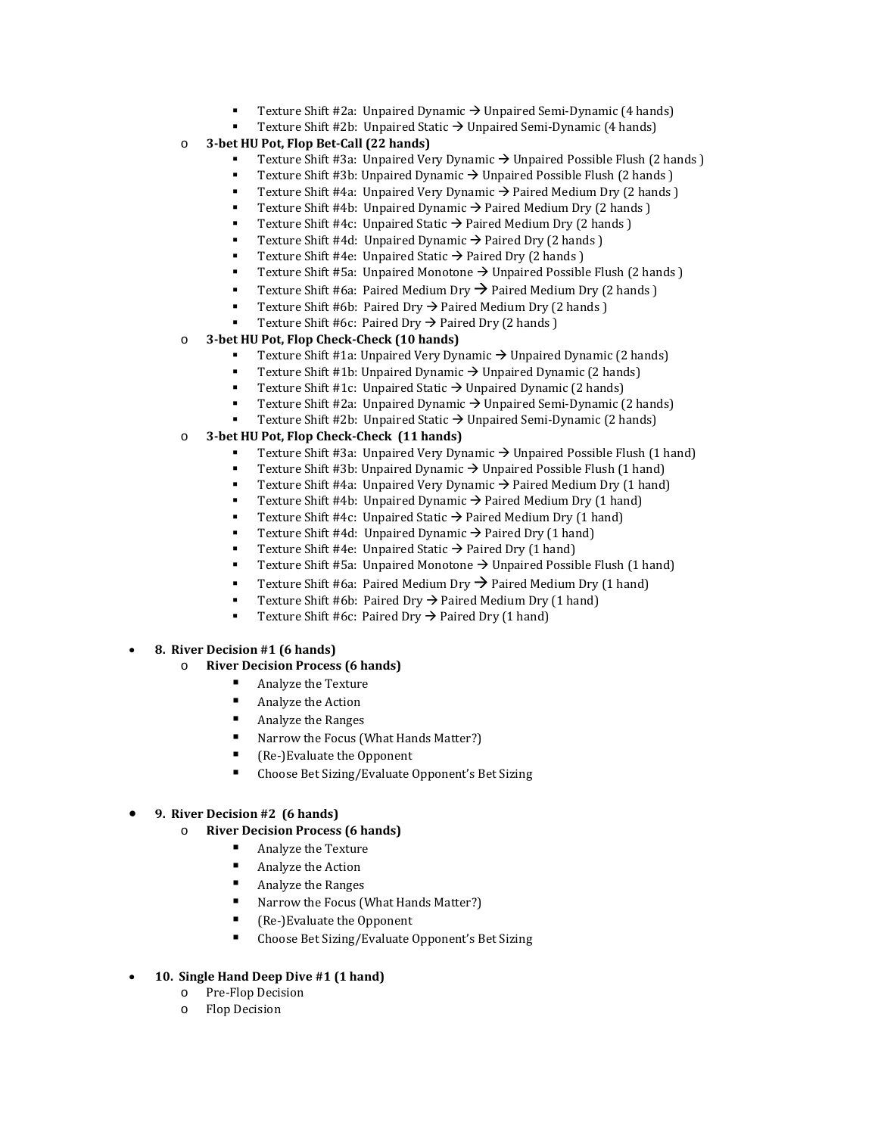- Texture Shift #2a:Unpaired Dynamic Unpaired Semi-Dynamic (4 hands)
- Texture Shift #2b:Unpaired Static Unpaired Semi-Dynamic (4 hands)
- o **3-bet HU Pot, Flop Bet-Call (22 hands)**
	- Texture Shift #3a: Unpaired Very Dynamic  $\rightarrow$  Unpaired Possible Flush (2 hands )
	- Texture Shift #3b: Unpaired Dynamic  $\rightarrow$  Unpaired Possible Flush (2 hands )
	- Texture Shift #4a: Unpaired Very Dynamic  $\rightarrow$  Paired Medium Dry (2 hands )
	- Texture Shift #4b: Unpaired Dynamic  $\rightarrow$  Paired Medium Dry (2 hands)
	- Texture Shift #4c: Unpaired Static  $\rightarrow$  Paired Medium Dry (2 hands)
	- Texture Shift #4d: Unpaired Dynamic  $\rightarrow$  Paired Dry (2 hands)
	- Texture Shift #4e: Unpaired Static  $\rightarrow$  Paired Dry (2 hands )
	- Texture Shift #5a: Unpaired Monotone  $\rightarrow$  Unpaired Possible Flush (2 hands)
	- **Texture Shift #6a: Paired Medium Dry**  $\rightarrow$  **Paired Medium Dry (2 hands)**
	- Texture Shift #6b: Paired Dry  $\rightarrow$  Paired Medium Dry (2 hands )
	- Texture Shift #6c: Paired Dry  $\rightarrow$  Paired Dry (2 hands )
- o **3-bet HU Pot, Flop Check-Check (10 hands)**
	- Texture Shift #1a: Unpaired Very Dynamic  $\rightarrow$  Unpaired Dynamic (2 hands)
	- Texture Shift #1b: Unpaired Dynamic  $\rightarrow$  Unpaired Dynamic (2 hands)
	- Texture Shift #1c: Unpaired Static  $\rightarrow$  Unpaired Dynamic (2 hands)
	- Texture Shift #2a: Unpaired Dynamic → Unpaired Semi-Dynamic (2 hands)
	- Texture Shift #2b: Unpaired Static → Unpaired Semi-Dynamic (2 hands)
- o **3-bet HU Pot, Flop Check-Check (11 hands)**
	- Texture Shift #3a: Unpaired Very Dynamic  $\rightarrow$  Unpaired Possible Flush (1 hand)
	- Texture Shift #3b: Unpaired Dynamic  $\rightarrow$  Unpaired Possible Flush (1 hand)
	- Texture Shift #4a: Unpaired Very Dynamic  $\rightarrow$  Paired Medium Dry (1 hand)
	- Texture Shift #4b: Unpaired Dynamic  $\rightarrow$  Paired Medium Dry (1 hand)
	- Texture Shift #4c: Unpaired Static  $\rightarrow$  Paired Medium Dry (1 hand)
	- Texture Shift #4d: Unpaired Dynamic  $\rightarrow$  Paired Dry (1 hand)
	- Texture Shift #4e: Unpaired Static  $\rightarrow$  Paired Dry (1 hand)
	- Texture Shift #5a: Unpaired Monotone  $\rightarrow$  Unpaired Possible Flush (1 hand)
	- Texture Shift #6a: Paired Medium Dry  $\rightarrow$  Paired Medium Dry (1 hand)
	- Texture Shift #6b: Paired Dry  $\rightarrow$  Paired Medium Dry (1 hand)
	- Texture Shift #6c: Paired Dry  $\rightarrow$  Paired Dry (1 hand)
- **8. River Decision #1 (6 hands)**
	- o **River Decision Process (6 hands)**
		- Analyze the Texture
		- Analyze the Action
		- Analyze the Ranges
		- Narrow the Focus (What Hands Matter?)
		- Re-)Evaluate the Opponent<br>  $\blacksquare$  Choose Bet Sizing (Evaluate 0
		- Choose Bet Sizing/Evaluate Opponent's Bet Sizing

#### • **9. River Decision #2 (6 hands)**

- o **River Decision Process (6 hands)**
	- Analyze the Texture
	- Analyze the Action
	- Analyze the Ranges
	- Narrow the Focus (What Hands Matter?)
	- Re-)Evaluate the Opponent<br>Choose Bet Sizing/Evaluate (
	- Choose Bet Sizing/Evaluate Opponent's Bet Sizing
- **10. Single Hand Deep Dive #1 (1 hand)**
	- o Pre-Flop Decision
	- o Flop Decision